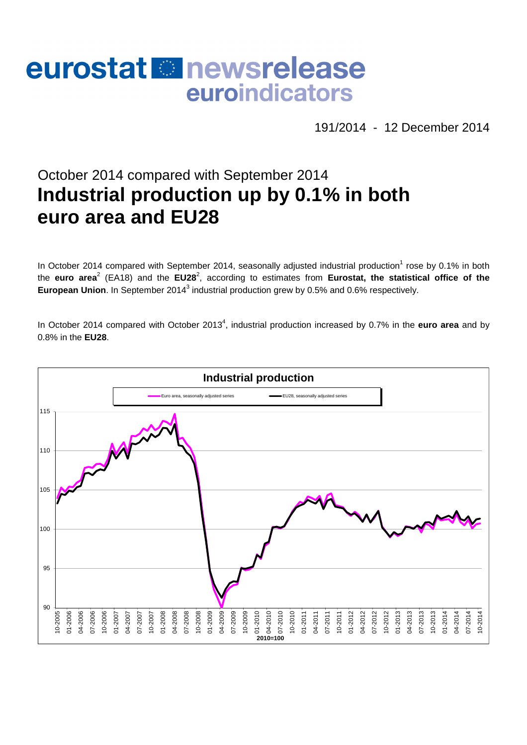# eurostat **E**newsrelease euroindicators

191/2014 - 12 December 2014

# October 2014 compared with September 2014 **Industrial production up by 0.1% in both euro area and EU28**

In October 2014 compared with September 2014, seasonally adjusted industrial production<sup>1</sup> rose by 0.1% in both the euro area<sup>2</sup> (EA18) and the EU28<sup>2</sup>, according to estimates from Eurostat, the statistical office of the European Union. In September 2014<sup>3</sup> industrial production grew by 0.5% and 0.6% respectively.

In October 2014 compared with October 2013<sup>4</sup>, industrial production increased by 0.7% in the **euro area** and by 0.8% in the **EU28**.

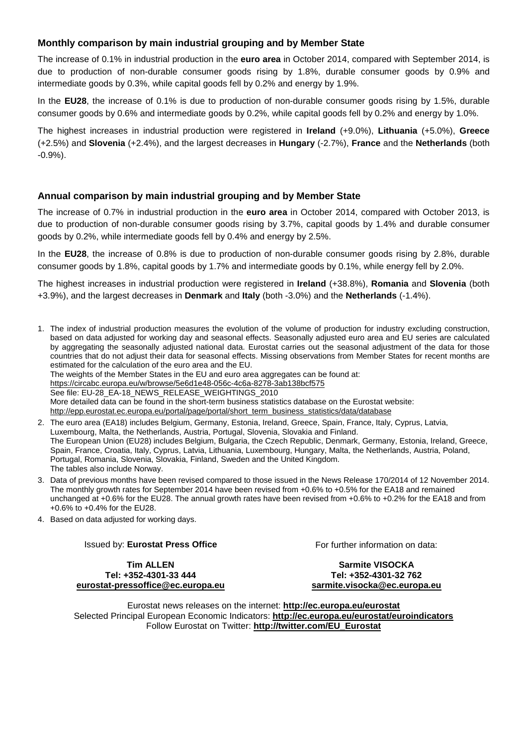## **Monthly comparison by main industrial grouping and by Member State**

The increase of 0.1% in industrial production in the **euro area** in October 2014, compared with September 2014, is due to production of non-durable consumer goods rising by 1.8%, durable consumer goods by 0.9% and intermediate goods by 0.3%, while capital goods fell by 0.2% and energy by 1.9%.

In the **EU28**, the increase of 0.1% is due to production of non-durable consumer goods rising by 1.5%, durable consumer goods by 0.6% and intermediate goods by 0.2%, while capital goods fell by 0.2% and energy by 1.0%.

The highest increases in industrial production were registered in **Ireland** (+9.0%), **Lithuania** (+5.0%), **Greece** (+2.5%) and **Slovenia** (+2.4%), and the largest decreases in **Hungary** (-2.7%), **France** and the **Netherlands** (both -0.9%).

### **Annual comparison by main industrial grouping and by Member State**

The increase of 0.7% in industrial production in the **euro area** in October 2014, compared with October 2013, is due to production of non-durable consumer goods rising by 3.7%, capital goods by 1.4% and durable consumer goods by 0.2%, while intermediate goods fell by 0.4% and energy by 2.5%.

In the **EU28**, the increase of 0.8% is due to production of non-durable consumer goods rising by 2.8%, durable consumer goods by 1.8%, capital goods by 1.7% and intermediate goods by 0.1%, while energy fell by 2.0%.

The highest increases in industrial production were registered in **Ireland** (+38.8%), **Romania** and **Slovenia** (both +3.9%), and the largest decreases in **Denmark** and **Italy** (both -3.0%) and the **Netherlands** (-1.4%).

1. The index of industrial production measures the evolution of the volume of production for industry excluding construction, based on data adjusted for working day and seasonal effects. Seasonally adjusted euro area and EU series are calculated by aggregating the seasonally adjusted national data. Eurostat carries out the seasonal adjustment of the data for those countries that do not adjust their data for seasonal effects. Missing observations from Member States for recent months are estimated for the calculation of the euro area and the EU.

The weights of the Member States in the EU and euro area aggregates can be found at:

https://circabc.europa.eu/w/browse/5e6d1e48-056c-4c6a-8278-3ab138bcf575

See file: EU-28\_EA-18\_NEWS\_RELEASE\_WEIGHTINGS\_2010

More detailed data can be found in the short-term business statistics database on the Eurostat website:

http://epp.eurostat.ec.europa.eu/portal/page/portal/short\_term\_business\_statistics/data/database

- 2. The euro area (EA18) includes Belgium, Germany, Estonia, Ireland, Greece, Spain, France, Italy, Cyprus, Latvia, Luxembourg, Malta, the Netherlands, Austria, Portugal, Slovenia, Slovakia and Finland. The European Union (EU28) includes Belgium, Bulgaria, the Czech Republic, Denmark, Germany, Estonia, Ireland, Greece, Spain, France, Croatia, Italy, Cyprus, Latvia, Lithuania, Luxembourg, Hungary, Malta, the Netherlands, Austria, Poland, Portugal, Romania, Slovenia, Slovakia, Finland, Sweden and the United Kingdom. The tables also include Norway.
- 3. Data of previous months have been revised compared to those issued in the News Release 170/2014 of 12 November 2014. The monthly growth rates for September 2014 have been revised from +0.6% to +0.5% for the EA18 and remained unchanged at +0.6% for the EU28. The annual growth rates have been revised from +0.6% to +0.2% for the EA18 and from +0.6% to +0.4% for the EU28.
- 4. Based on data adjusted for working days.

#### Issued by: **Eurostat Press Office**

**Tim ALLEN Tel: +352-4301-33 444 eurostat-pressoffice@ec.europa.eu**  For further information on data:

#### **Sarmite VISOCKA Tel: +352-4301-32 762 sarmite.visocka@ec.europa.eu**

Eurostat news releases on the internet: **http://ec.europa.eu/eurostat**  Selected Principal European Economic Indicators: **http://ec.europa.eu/eurostat/euroindicators**  Follow Eurostat on Twitter: **http://twitter.com/EU\_Eurostat**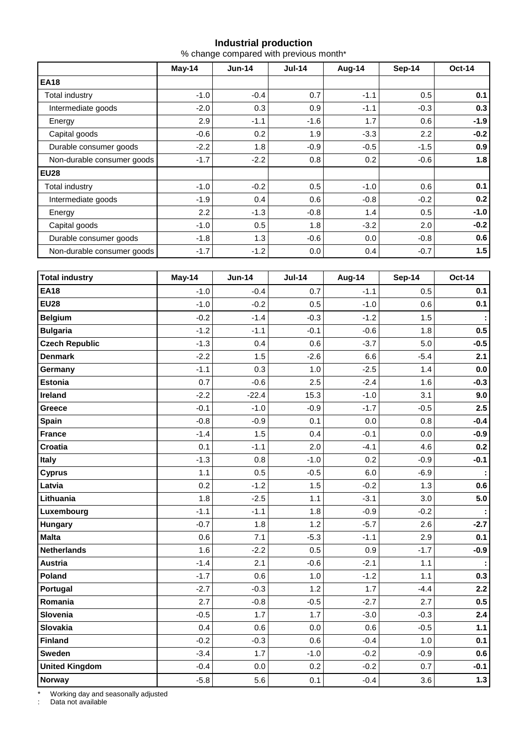### **Industrial production**

% change compared with previous month\*

|                            | May-14 | $Jun-14$ | $Jul-14$ | Aug-14 | Sep-14 | <b>Oct-14</b> |  |
|----------------------------|--------|----------|----------|--------|--------|---------------|--|
| <b>EA18</b>                |        |          |          |        |        |               |  |
| Total industry             | $-1.0$ | $-0.4$   | 0.7      | $-1.1$ | 0.5    | 0.1           |  |
| Intermediate goods         | $-2.0$ | 0.3      | 0.9      | $-1.1$ | $-0.3$ | 0.3           |  |
| Energy                     | 2.9    | $-1.1$   | $-1.6$   | 1.7    | 0.6    | $-1.9$        |  |
| Capital goods              | $-0.6$ | 0.2      | 1.9      | $-3.3$ | 2.2    | $-0.2$        |  |
| Durable consumer goods     | $-2.2$ | 1.8      | $-0.9$   | $-0.5$ | $-1.5$ | 0.9           |  |
| Non-durable consumer goods | $-1.7$ | $-2.2$   | 0.8      | 0.2    | $-0.6$ | 1.8           |  |
| <b>EU28</b>                |        |          |          |        |        |               |  |
| Total industry             | $-1.0$ | $-0.2$   | 0.5      | $-1.0$ | 0.6    | 0.1           |  |
| Intermediate goods         | $-1.9$ | 0.4      | 0.6      | $-0.8$ | $-0.2$ | 0.2           |  |
| Energy                     | 2.2    | $-1.3$   | $-0.8$   | 1.4    | 0.5    | $-1.0$        |  |
| Capital goods              | $-1.0$ | 0.5      | 1.8      | $-3.2$ | 2.0    | $-0.2$        |  |
| Durable consumer goods     | $-1.8$ | 1.3      | $-0.6$   | 0.0    | $-0.8$ | 0.6           |  |
| Non-durable consumer goods | $-1.7$ | $-1.2$   | 0.0      | 0.4    | $-0.7$ | 1.5           |  |

| <b>Total industry</b> | May-14 | <b>Jun-14</b> | <b>Jul-14</b> | Aug-14 | <b>Sep-14</b> | <b>Oct-14</b> |
|-----------------------|--------|---------------|---------------|--------|---------------|---------------|
| <b>EA18</b>           | $-1.0$ | $-0.4$        | 0.7           | $-1.1$ | 0.5           | 0.1           |
| <b>EU28</b>           | $-1.0$ | $-0.2$        | 0.5           | $-1.0$ | 0.6           | 0.1           |
| <b>Belgium</b>        | $-0.2$ | $-1.4$        | $-0.3$        | $-1.2$ | 1.5           |               |
| <b>Bulgaria</b>       | $-1.2$ | $-1.1$        | $-0.1$        | $-0.6$ | 1.8           | 0.5           |
| <b>Czech Republic</b> | $-1.3$ | 0.4           | 0.6           | $-3.7$ | 5.0           | $-0.5$        |
| <b>Denmark</b>        | $-2.2$ | 1.5           | $-2.6$        | 6.6    | $-5.4$        | 2.1           |
| Germany               | $-1.1$ | 0.3           | 1.0           | $-2.5$ | 1.4           | 0.0           |
| <b>Estonia</b>        | 0.7    | $-0.6$        | 2.5           | $-2.4$ | 1.6           | $-0.3$        |
| Ireland               | $-2.2$ | $-22.4$       | 15.3          | $-1.0$ | 3.1           | 9.0           |
| Greece                | $-0.1$ | $-1.0$        | $-0.9$        | $-1.7$ | $-0.5$        | 2.5           |
| <b>Spain</b>          | $-0.8$ | $-0.9$        | 0.1           | 0.0    | 0.8           | $-0.4$        |
| <b>France</b>         | $-1.4$ | 1.5           | 0.4           | $-0.1$ | 0.0           | $-0.9$        |
| Croatia               | 0.1    | $-1.1$        | 2.0           | $-4.1$ | 4.6           | 0.2           |
| <b>Italy</b>          | $-1.3$ | 0.8           | $-1.0$        | 0.2    | $-0.9$        | $-0.1$        |
| <b>Cyprus</b>         | 1.1    | 0.5           | $-0.5$        | 6.0    | $-6.9$        |               |
| Latvia                | 0.2    | $-1.2$        | 1.5           | $-0.2$ | 1.3           | 0.6           |
| Lithuania             | 1.8    | $-2.5$        | 1.1           | $-3.1$ | 3.0           | 5.0           |
| Luxembourg            | $-1.1$ | $-1.1$        | 1.8           | $-0.9$ | $-0.2$        |               |
| Hungary               | $-0.7$ | 1.8           | 1.2           | $-5.7$ | 2.6           | $-2.7$        |
| <b>Malta</b>          | 0.6    | 7.1           | $-5.3$        | $-1.1$ | 2.9           | 0.1           |
| <b>Netherlands</b>    | 1.6    | $-2.2$        | 0.5           | 0.9    | $-1.7$        | $-0.9$        |
| <b>Austria</b>        | $-1.4$ | 2.1           | $-0.6$        | $-2.1$ | 1.1           |               |
| Poland                | $-1.7$ | 0.6           | 1.0           | $-1.2$ | 1.1           | 0.3           |
| Portugal              | $-2.7$ | $-0.3$        | 1.2           | 1.7    | $-4.4$        | 2.2           |
| Romania               | 2.7    | $-0.8$        | $-0.5$        | $-2.7$ | 2.7           | 0.5           |
| Slovenia              | $-0.5$ | 1.7           | 1.7           | $-3.0$ | $-0.3$        | 2.4           |
| Slovakia              | 0.4    | 0.6           | 0.0           | 0.6    | $-0.5$        | $1.1$         |
| <b>Finland</b>        | $-0.2$ | $-0.3$        | 0.6           | $-0.4$ | 1.0           | 0.1           |
| <b>Sweden</b>         | $-3.4$ | 1.7           | $-1.0$        | $-0.2$ | $-0.9$        | 0.6           |
| <b>United Kingdom</b> | $-0.4$ | 0.0           | 0.2           | $-0.2$ | 0.7           | $-0.1$        |
| Norway                | $-5.8$ | 5.6           | 0.1           | $-0.4$ | 3.6           | $1.3$         |

\* Working day and seasonally adjusted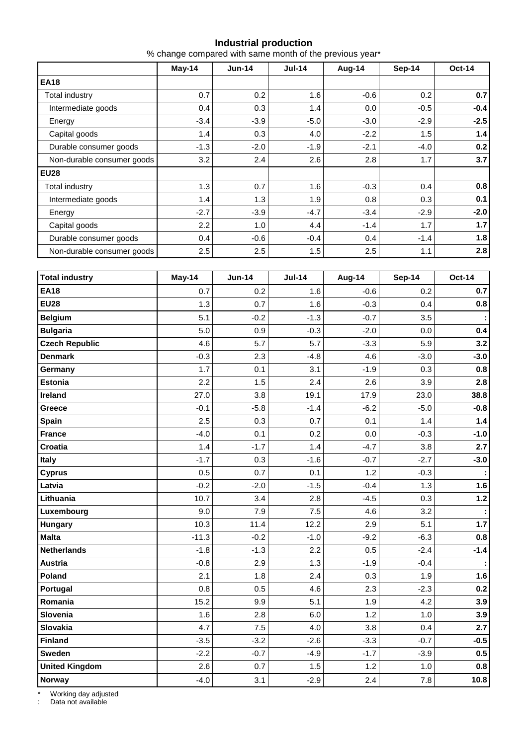### **Industrial production**

% change compared with same month of the previous year\*

|                            | May-14 | $Jun-14$ | <b>Jul-14</b> | Aug-14 | Sep-14 | <b>Oct-14</b> |  |
|----------------------------|--------|----------|---------------|--------|--------|---------------|--|
| <b>EA18</b>                |        |          |               |        |        |               |  |
| Total industry             | 0.7    | 0.2      | 1.6           | $-0.6$ | 0.2    | 0.7           |  |
| Intermediate goods         | 0.4    | 0.3      | 1.4           | 0.0    | $-0.5$ | $-0.4$        |  |
| Energy                     | $-3.4$ | $-3.9$   | $-5.0$        | $-3.0$ | $-2.9$ | $-2.5$        |  |
| Capital goods              | 1.4    | 0.3      | 4.0           | $-2.2$ | 1.5    | 1.4           |  |
| Durable consumer goods     | $-1.3$ | $-2.0$   | $-1.9$        | $-2.1$ | $-4.0$ | 0.2           |  |
| Non-durable consumer goods | 3.2    | 2.4      | 2.6           | 2.8    | 1.7    | 3.7           |  |
| <b>EU28</b>                |        |          |               |        |        |               |  |
| Total industry             | 1.3    | 0.7      | 1.6           | $-0.3$ | 0.4    | 0.8           |  |
| Intermediate goods         | 1.4    | 1.3      | 1.9           | 0.8    | 0.3    | 0.1           |  |
| Energy                     | $-2.7$ | $-3.9$   | $-4.7$        | $-3.4$ | $-2.9$ | $-2.0$        |  |
| Capital goods              | 2.2    | 1.0      | 4.4           | $-1.4$ | 1.7    | 1.7           |  |
| Durable consumer goods     | 0.4    | $-0.6$   | $-0.4$        | 0.4    | $-1.4$ | 1.8           |  |
| Non-durable consumer goods | 2.5    | 2.5      | 1.5           | 2.5    | 1.1    | 2.8           |  |

| <b>Total industry</b> | May-14  | <b>Jun-14</b> | <b>Jul-14</b> | Aug-14 | <b>Sep-14</b> | <b>Oct-14</b> |
|-----------------------|---------|---------------|---------------|--------|---------------|---------------|
| <b>EA18</b>           | 0.7     | 0.2           | 1.6           | $-0.6$ | 0.2           | 0.7           |
| <b>EU28</b>           | 1.3     | 0.7           | 1.6           | $-0.3$ | 0.4           | 0.8           |
| <b>Belgium</b>        | 5.1     | $-0.2$        | $-1.3$        | $-0.7$ | 3.5           |               |
| <b>Bulgaria</b>       | 5.0     | 0.9           | $-0.3$        | $-2.0$ | 0.0           | 0.4           |
| <b>Czech Republic</b> | 4.6     | 5.7           | 5.7           | $-3.3$ | 5.9           | 3.2           |
| <b>Denmark</b>        | $-0.3$  | 2.3           | $-4.8$        | 4.6    | $-3.0$        | $-3.0$        |
| Germany               | 1.7     | 0.1           | 3.1           | $-1.9$ | 0.3           | 0.8           |
| <b>Estonia</b>        | 2.2     | 1.5           | 2.4           | 2.6    | 3.9           | 2.8           |
| Ireland               | 27.0    | 3.8           | 19.1          | 17.9   | 23.0          | 38.8          |
| Greece                | $-0.1$  | $-5.8$        | $-1.4$        | $-6.2$ | $-5.0$        | $-0.8$        |
| Spain                 | 2.5     | 0.3           | 0.7           | 0.1    | 1.4           | 1.4           |
| <b>France</b>         | $-4.0$  | 0.1           | 0.2           | 0.0    | $-0.3$        | $-1.0$        |
| Croatia               | 1.4     | $-1.7$        | 1.4           | $-4.7$ | 3.8           | 2.7           |
| <b>Italy</b>          | $-1.7$  | 0.3           | $-1.6$        | $-0.7$ | $-2.7$        | $-3.0$        |
| <b>Cyprus</b>         | 0.5     | 0.7           | 0.1           | 1.2    | $-0.3$        |               |
| Latvia                | $-0.2$  | $-2.0$        | $-1.5$        | $-0.4$ | 1.3           | 1.6           |
| Lithuania             | 10.7    | 3.4           | 2.8           | $-4.5$ | 0.3           | $1.2$         |
| Luxembourg            | 9.0     | 7.9           | 7.5           | 4.6    | 3.2           |               |
| Hungary               | 10.3    | 11.4          | 12.2          | 2.9    | 5.1           | 1.7           |
| <b>Malta</b>          | $-11.3$ | $-0.2$        | $-1.0$        | $-9.2$ | $-6.3$        | 0.8           |
| <b>Netherlands</b>    | $-1.8$  | $-1.3$        | 2.2           | 0.5    | $-2.4$        | $-1.4$        |
| <b>Austria</b>        | $-0.8$  | 2.9           | 1.3           | $-1.9$ | $-0.4$        |               |
| Poland                | 2.1     | 1.8           | 2.4           | 0.3    | 1.9           | 1.6           |
| Portugal              | 0.8     | 0.5           | 4.6           | 2.3    | $-2.3$        | 0.2           |
| Romania               | 15.2    | 9.9           | 5.1           | 1.9    | 4.2           | 3.9           |
| Slovenia              | 1.6     | 2.8           | 6.0           | 1.2    | 1.0           | 3.9           |
| <b>Slovakia</b>       | 4.7     | 7.5           | 4.0           | 3.8    | 0.4           | 2.7           |
| <b>Finland</b>        | $-3.5$  | $-3.2$        | $-2.6$        | $-3.3$ | $-0.7$        | $-0.5$        |
| <b>Sweden</b>         | $-2.2$  | $-0.7$        | $-4.9$        | $-1.7$ | $-3.9$        | 0.5           |
| <b>United Kingdom</b> | 2.6     | 0.7           | 1.5           | 1.2    | 1.0           | 0.8           |
| Norway                | $-4.0$  | 3.1           | $-2.9$        | 2.4    | 7.8           | 10.8          |

\* Working day adjusted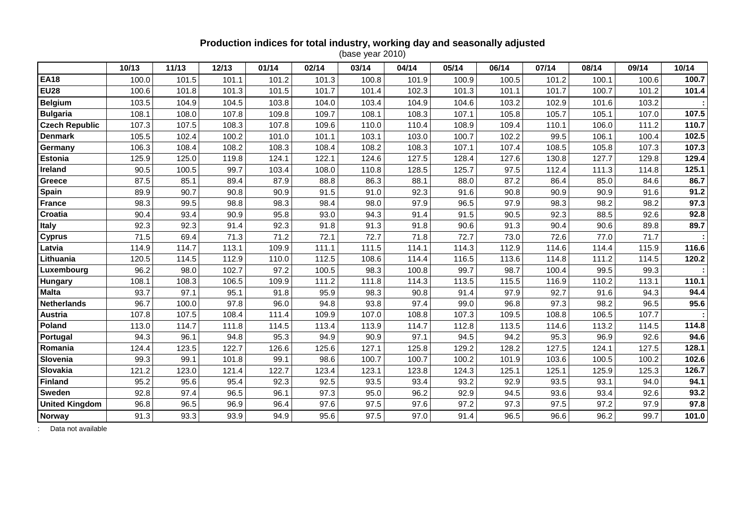# **Production indices for total industry, working day and seasonally adjusted**  (base year 2010)

|                       | 10/13 | 11/13 | 12/13 | 01/14 | 02/14 | 03/14 | 04/14 | 05/14 | 06/14 | 07/14 | 08/14 | 09/14 | 10/14 |
|-----------------------|-------|-------|-------|-------|-------|-------|-------|-------|-------|-------|-------|-------|-------|
| <b>EA18</b>           | 100.0 | 101.5 | 101.1 | 101.2 | 101.3 | 100.8 | 101.9 | 100.9 | 100.5 | 101.2 | 100.1 | 100.6 | 100.7 |
| <b>EU28</b>           | 100.6 | 101.8 | 101.3 | 101.5 | 101.7 | 101.4 | 102.3 | 101.3 | 101.1 | 101.7 | 100.7 | 101.2 | 101.4 |
| <b>Belgium</b>        | 103.5 | 104.9 | 104.5 | 103.8 | 104.0 | 103.4 | 104.9 | 104.6 | 103.2 | 102.9 | 101.6 | 103.2 |       |
| <b>Bulgaria</b>       | 108.1 | 108.0 | 107.8 | 109.8 | 109.7 | 108.1 | 108.3 | 107.1 | 105.8 | 105.7 | 105.1 | 107.0 | 107.5 |
| <b>Czech Republic</b> | 107.3 | 107.5 | 108.3 | 107.8 | 109.6 | 110.0 | 110.4 | 108.9 | 109.4 | 110.1 | 106.0 | 111.2 | 110.7 |
| <b>Denmark</b>        | 105.5 | 102.4 | 100.2 | 101.0 | 101.1 | 103.1 | 103.0 | 100.7 | 102.2 | 99.5  | 106.1 | 100.4 | 102.5 |
| Germany               | 106.3 | 108.4 | 108.2 | 108.3 | 108.4 | 108.2 | 108.3 | 107.1 | 107.4 | 108.5 | 105.8 | 107.3 | 107.3 |
| <b>Estonia</b>        | 125.9 | 125.0 | 119.8 | 124.1 | 122.1 | 124.6 | 127.5 | 128.4 | 127.6 | 130.8 | 127.7 | 129.8 | 129.4 |
| <b>Ireland</b>        | 90.5  | 100.5 | 99.7  | 103.4 | 108.0 | 110.8 | 128.5 | 125.7 | 97.5  | 112.4 | 111.3 | 114.8 | 125.1 |
| <b>Greece</b>         | 87.5  | 85.1  | 89.4  | 87.9  | 88.8  | 86.3  | 88.1  | 88.0  | 87.2  | 86.4  | 85.0  | 84.6  | 86.7  |
| Spain                 | 89.9  | 90.7  | 90.8  | 90.9  | 91.5  | 91.0  | 92.3  | 91.6  | 90.8  | 90.9  | 90.9  | 91.6  | 91.2  |
| <b>France</b>         | 98.3  | 99.5  | 98.8  | 98.3  | 98.4  | 98.0  | 97.9  | 96.5  | 97.9  | 98.3  | 98.2  | 98.2  | 97.3  |
| Croatia               | 90.4  | 93.4  | 90.9  | 95.8  | 93.0  | 94.3  | 91.4  | 91.5  | 90.5  | 92.3  | 88.5  | 92.6  | 92.8  |
| <b>Italy</b>          | 92.3  | 92.3  | 91.4  | 92.3  | 91.8  | 91.3  | 91.8  | 90.6  | 91.3  | 90.4  | 90.6  | 89.8  | 89.7  |
| <b>Cyprus</b>         | 71.5  | 69.4  | 71.3  | 71.2  | 72.1  | 72.7  | 71.8  | 72.7  | 73.0  | 72.6  | 77.0  | 71.7  |       |
| Latvia                | 114.9 | 114.7 | 113.1 | 109.9 | 111.1 | 111.5 | 114.1 | 114.3 | 112.9 | 114.6 | 114.4 | 115.9 | 116.6 |
| Lithuania             | 120.5 | 114.5 | 112.9 | 110.0 | 112.5 | 108.6 | 114.4 | 116.5 | 113.6 | 114.8 | 111.2 | 114.5 | 120.2 |
| Luxembourg            | 96.2  | 98.0  | 102.7 | 97.2  | 100.5 | 98.3  | 100.8 | 99.7  | 98.7  | 100.4 | 99.5  | 99.3  |       |
| Hungary               | 108.1 | 108.3 | 106.5 | 109.9 | 111.2 | 111.8 | 114.3 | 113.5 | 115.5 | 116.9 | 110.2 | 113.1 | 110.1 |
| <b>Malta</b>          | 93.7  | 97.1  | 95.1  | 91.8  | 95.9  | 98.3  | 90.8  | 91.4  | 97.9  | 92.7  | 91.6  | 94.3  | 94.4  |
| <b>Netherlands</b>    | 96.7  | 100.0 | 97.8  | 96.0  | 94.8  | 93.8  | 97.4  | 99.0  | 96.8  | 97.3  | 98.2  | 96.5  | 95.6  |
| <b>Austria</b>        | 107.8 | 107.5 | 108.4 | 111.4 | 109.9 | 107.0 | 108.8 | 107.3 | 109.5 | 108.8 | 106.5 | 107.7 |       |
| Poland                | 113.0 | 114.7 | 111.8 | 114.5 | 113.4 | 113.9 | 114.7 | 112.8 | 113.5 | 114.6 | 113.2 | 114.5 | 114.8 |
| Portugal              | 94.3  | 96.1  | 94.8  | 95.3  | 94.9  | 90.9  | 97.1  | 94.5  | 94.2  | 95.3  | 96.9  | 92.6  | 94.6  |
| Romania               | 124.4 | 123.5 | 122.7 | 126.6 | 125.6 | 127.1 | 125.8 | 129.2 | 128.2 | 127.5 | 124.1 | 127.5 | 128.1 |
| Slovenia              | 99.3  | 99.1  | 101.8 | 99.1  | 98.6  | 100.7 | 100.7 | 100.2 | 101.9 | 103.6 | 100.5 | 100.2 | 102.6 |
| Slovakia              | 121.2 | 123.0 | 121.4 | 122.7 | 123.4 | 123.1 | 123.8 | 124.3 | 125.1 | 125.1 | 125.9 | 125.3 | 126.7 |
| <b>Finland</b>        | 95.2  | 95.6  | 95.4  | 92.3  | 92.5  | 93.5  | 93.4  | 93.2  | 92.9  | 93.5  | 93.1  | 94.0  | 94.1  |
| Sweden                | 92.8  | 97.4  | 96.5  | 96.1  | 97.3  | 95.0  | 96.2  | 92.9  | 94.5  | 93.6  | 93.4  | 92.6  | 93.2  |
| <b>United Kingdom</b> | 96.8  | 96.5  | 96.9  | 96.4  | 97.6  | 97.5  | 97.6  | 97.2  | 97.3  | 97.5  | 97.2  | 97.9  | 97.8  |
| <b>Norway</b>         | 91.3  | 93.3  | 93.9  | 94.9  | 95.6  | 97.5  | 97.0  | 91.4  | 96.5  | 96.6  | 96.2  | 99.7  | 101.0 |